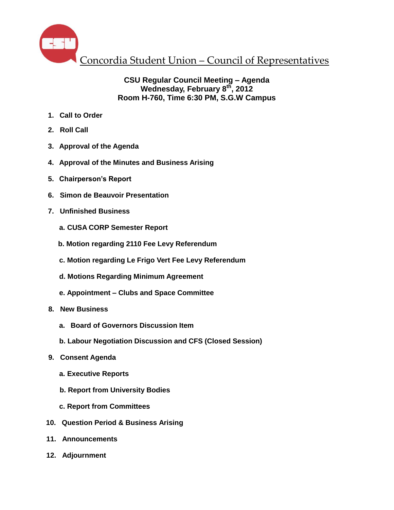

#### **CSU Regular Council Meeting – Agenda Wednesday, February 8th , 2012 Room H-760, Time 6:30 PM, S.G.W Campus**

- **1. Call to Order**
- **2. Roll Call**
- **3. Approval of the Agenda**
- **4. Approval of the Minutes and Business Arising**
- **5. Chairperson's Report**
- **6. Simon de Beauvoir Presentation**
- **7. Unfinished Business**
	- **a. CUSA CORP Semester Report**
	- **b. Motion regarding 2110 Fee Levy Referendum**
	- **c. Motion regarding Le Frigo Vert Fee Levy Referendum**
	- **d. Motions Regarding Minimum Agreement**
	- **e. Appointment – Clubs and Space Committee**
- **8. New Business**
	- **a. Board of Governors Discussion Item**
	- **b. Labour Negotiation Discussion and CFS (Closed Session)**
- **9. Consent Agenda**
	- **a. Executive Reports**
	- **b. Report from University Bodies**
	- **c. Report from Committees**
- **10. Question Period & Business Arising**
- **11. Announcements**
- **12. Adjournment**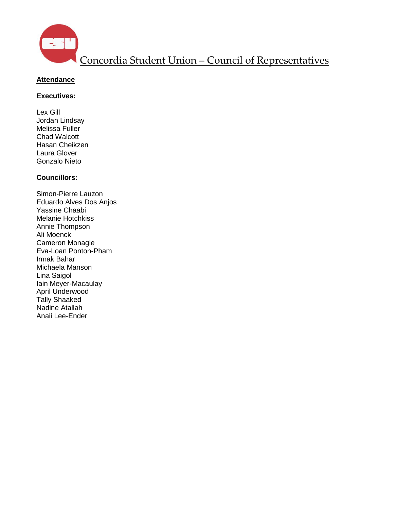

### **Attendance**

#### **Executives:**

Lex Gill Jordan Lindsay Melissa Fuller Chad Walcott Hasan Cheikzen Laura Glover Gonzalo Nieto

#### **Councillors:**

Simon-Pierre Lauzon Eduardo Alves Dos Anjos Yassine Chaabi Melanie Hotchkiss Annie Thompson Ali Moenck Cameron Monagle Eva-Loan Ponton-Pham Irmak Bahar Michaela Manson Lina Saigol Iain Meyer-Macaulay April Underwood Tally Shaaked Nadine Atallah Anaii Lee-Ender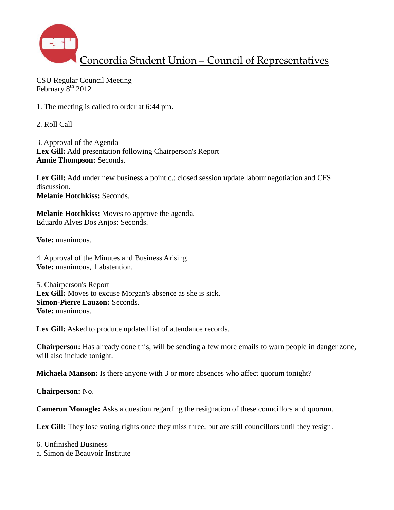

CSU Regular Council Meeting February 8<sup>th</sup> 2012

1. The meeting is called to order at 6:44 pm.

2. Roll Call

3. Approval of the Agenda **Lex Gill:** Add presentation following Chairperson's Report **Annie Thompson:** Seconds.

Lex Gill: Add under new business a point c.: closed session update labour negotiation and CFS discussion. **Melanie Hotchkiss:** Seconds.

**Melanie Hotchkiss:** Moves to approve the agenda. Eduardo Alves Dos Anjos: Seconds.

**Vote:** unanimous.

4. Approval of the Minutes and Business Arising **Vote:** unanimous, 1 abstention.

5. Chairperson's Report Lex Gill: Moves to excuse Morgan's absence as she is sick. **Simon-Pierre Lauzon:** Seconds. **Vote:** unanimous.

Lex Gill: Asked to produce updated list of attendance records.

**Chairperson:** Has already done this, will be sending a few more emails to warn people in danger zone, will also include tonight.

**Michaela Manson:** Is there anyone with 3 or more absences who affect quorum tonight?

**Chairperson:** No.

**Cameron Monagle:** Asks a question regarding the resignation of these councillors and quorum.

Lex Gill: They lose voting rights once they miss three, but are still councillors until they resign.

6. Unfinished Business a. Simon de Beauvoir Institute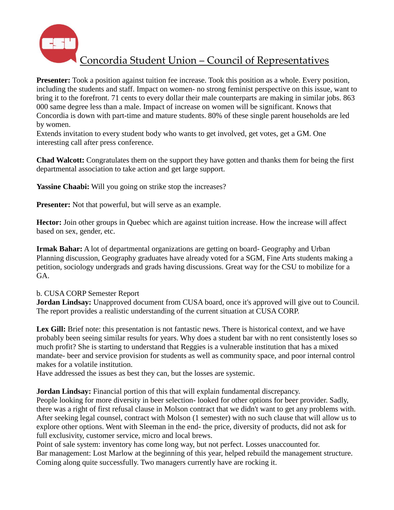

**Presenter:** Took a position against tuition fee increase. Took this position as a whole. Every position, including the students and staff. Impact on women- no strong feminist perspective on this issue, want to bring it to the forefront. 71 cents to every dollar their male counterparts are making in similar jobs. 863 000 same degree less than a male. Impact of increase on women will be significant. Knows that Concordia is down with part-time and mature students. 80% of these single parent households are led by women.

Extends invitation to every student body who wants to get involved, get votes, get a GM. One interesting call after press conference.

**Chad Walcott:** Congratulates them on the support they have gotten and thanks them for being the first departmental association to take action and get large support.

**Yassine Chaabi:** Will you going on strike stop the increases?

**Presenter:** Not that powerful, but will serve as an example.

**Hector:** Join other groups in Quebec which are against tuition increase. How the increase will affect based on sex, gender, etc.

**Irmak Bahar:** A lot of departmental organizations are getting on board- Geography and Urban Planning discussion, Geography graduates have already voted for a SGM, Fine Arts students making a petition, sociology undergrads and grads having discussions. Great way for the CSU to mobilize for a GA.

#### b. CUSA CORP Semester Report

**Jordan Lindsay:** Unapproved document from CUSA board, once it's approved will give out to Council. The report provides a realistic understanding of the current situation at CUSA CORP.

Lex Gill: Brief note: this presentation is not fantastic news. There is historical context, and we have probably been seeing similar results for years. Why does a student bar with no rent consistently loses so much profit? She is starting to understand that Reggies is a vulnerable institution that has a mixed mandate- beer and service provision for students as well as community space, and poor internal control makes for a volatile institution.

Have addressed the issues as best they can, but the losses are systemic.

**Jordan Lindsay:** Financial portion of this that will explain fundamental discrepancy.

People looking for more diversity in beer selection- looked for other options for beer provider. Sadly, there was a right of first refusal clause in Molson contract that we didn't want to get any problems with. After seeking legal counsel, contract with Molson (1 semester) with no such clause that will allow us to explore other options. Went with Sleeman in the end- the price, diversity of products, did not ask for full exclusivity, customer service, micro and local brews.

Point of sale system: inventory has come long way, but not perfect. Losses unaccounted for. Bar management: Lost Marlow at the beginning of this year, helped rebuild the management structure. Coming along quite successfully. Two managers currently have are rocking it.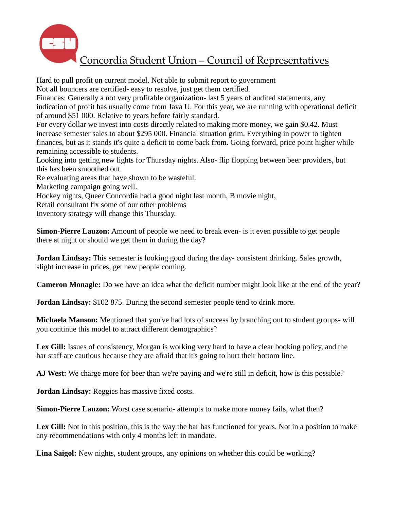

Hard to pull profit on current model. Not able to submit report to government

Not all bouncers are certified- easy to resolve, just get them certified.

Finances: Generally a not very profitable organization- last 5 years of audited statements, any indication of profit has usually come from Java U. For this year, we are running with operational deficit of around \$51 000. Relative to years before fairly standard.

For every dollar we invest into costs directly related to making more money, we gain \$0.42. Must increase semester sales to about \$295 000. Financial situation grim. Everything in power to tighten finances, but as it stands it's quite a deficit to come back from. Going forward, price point higher while remaining accessible to students.

Looking into getting new lights for Thursday nights. Also- flip flopping between beer providers, but this has been smoothed out.

Re evaluating areas that have shown to be wasteful.

Marketing campaign going well.

Hockey nights, Queer Concordia had a good night last month, B movie night,

Retail consultant fix some of our other problems

Inventory strategy will change this Thursday.

**Simon-Pierre Lauzon:** Amount of people we need to break even- is it even possible to get people there at night or should we get them in during the day?

**Jordan Lindsay:** This semester is looking good during the day- consistent drinking. Sales growth, slight increase in prices, get new people coming.

**Cameron Monagle:** Do we have an idea what the deficit number might look like at the end of the year?

**Jordan Lindsay:** \$102 875. During the second semester people tend to drink more.

**Michaela Manson:** Mentioned that you've had lots of success by branching out to student groups- will you continue this model to attract different demographics?

Lex Gill: Issues of consistency, Morgan is working very hard to have a clear booking policy, and the bar staff are cautious because they are afraid that it's going to hurt their bottom line.

**AJ West:** We charge more for beer than we're paying and we're still in deficit, how is this possible?

**Jordan Lindsay:** Reggies has massive fixed costs.

**Simon-Pierre Lauzon:** Worst case scenario- attempts to make more money fails, what then?

Lex Gill: Not in this position, this is the way the bar has functioned for years. Not in a position to make any recommendations with only 4 months left in mandate.

**Lina Saigol:** New nights, student groups, any opinions on whether this could be working?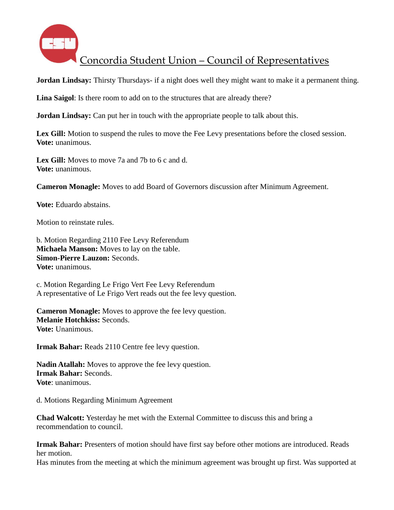

**Jordan Lindsay:** Thirsty Thursdays- if a night does well they might want to make it a permanent thing.

**Lina Saigol**: Is there room to add on to the structures that are already there?

**Jordan Lindsay:** Can put her in touch with the appropriate people to talk about this.

Lex Gill: Motion to suspend the rules to move the Fee Levy presentations before the closed session. **Vote:** unanimous.

**Lex Gill:** Moves to move 7a and 7b to 6 c and d. **Vote:** unanimous.

**Cameron Monagle:** Moves to add Board of Governors discussion after Minimum Agreement.

**Vote:** Eduardo abstains.

Motion to reinstate rules.

b. Motion Regarding 2110 Fee Levy Referendum **Michaela Manson:** Moves to lay on the table. **Simon-Pierre Lauzon:** Seconds. **Vote:** unanimous.

c. Motion Regarding Le Frigo Vert Fee Levy Referendum A representative of Le Frigo Vert reads out the fee levy question.

**Cameron Monagle:** Moves to approve the fee levy question. **Melanie Hotchkiss:** Seconds. **Vote:** Unanimous.

**Irmak Bahar:** Reads 2110 Centre fee levy question.

**Nadin Atallah:** Moves to approve the fee levy question. **Irmak Bahar:** Seconds. **Vote**: unanimous.

d. Motions Regarding Minimum Agreement

**Chad Walcott:** Yesterday he met with the External Committee to discuss this and bring a recommendation to council.

**Irmak Bahar:** Presenters of motion should have first say before other motions are introduced. Reads her motion.

Has minutes from the meeting at which the minimum agreement was brought up first. Was supported at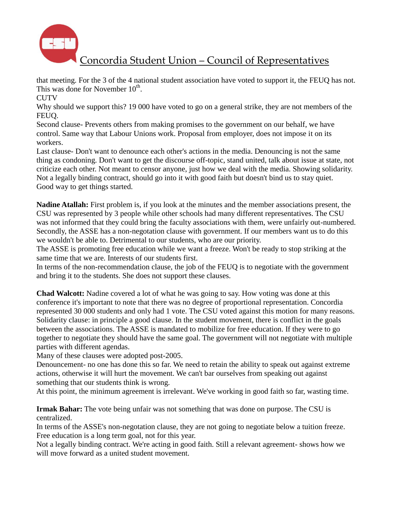

that meeting. For the 3 of the 4 national student association have voted to support it, the FEUQ has not. This was done for November  $10<sup>th</sup>$ .

**CUTV** 

Why should we support this? 19 000 have voted to go on a general strike, they are not members of the FEUQ.

Second clause- Prevents others from making promises to the government on our behalf, we have control. Same way that Labour Unions work. Proposal from employer, does not impose it on its workers.

Last clause- Don't want to denounce each other's actions in the media. Denouncing is not the same thing as condoning. Don't want to get the discourse off-topic, stand united, talk about issue at state, not criticize each other. Not meant to censor anyone, just how we deal with the media. Showing solidarity. Not a legally binding contract, should go into it with good faith but doesn't bind us to stay quiet. Good way to get things started.

**Nadine Atallah:** First problem is, if you look at the minutes and the member associations present, the CSU was represented by 3 people while other schools had many different representatives. The CSU was not informed that they could bring the faculty associations with them, were unfairly out-numbered. Secondly, the ASSE has a non-negotation clause with government. If our members want us to do this we wouldn't be able to. Detrimental to our students, who are our priority.

The ASSE is promoting free education while we want a freeze. Won't be ready to stop striking at the same time that we are. Interests of our students first.

In terms of the non-recommendation clause, the job of the FEUQ is to negotiate with the government and bring it to the students. She does not support these clauses.

**Chad Walcott:** Nadine covered a lot of what he was going to say. How voting was done at this conference it's important to note that there was no degree of proportional representation. Concordia represented 30 000 students and only had 1 vote. The CSU voted against this motion for many reasons. Solidarity clause: in principle a good clause. In the student movement, there is conflict in the goals between the associations. The ASSE is mandated to mobilize for free education. If they were to go together to negotiate they should have the same goal. The government will not negotiate with multiple parties with different agendas.

Many of these clauses were adopted post-2005.

Denouncement- no one has done this so far. We need to retain the ability to speak out against extreme actions, otherwise it will hurt the movement. We can't bar ourselves from speaking out against something that our students think is wrong.

At this point, the minimum agreement is irrelevant. We've working in good faith so far, wasting time.

**Irmak Bahar:** The vote being unfair was not something that was done on purpose. The CSU is centralized.

In terms of the ASSE's non-negotation clause, they are not going to negotiate below a tuition freeze. Free education is a long term goal, not for this year.

Not a legally binding contract. We're acting in good faith. Still a relevant agreement- shows how we will move forward as a united student movement.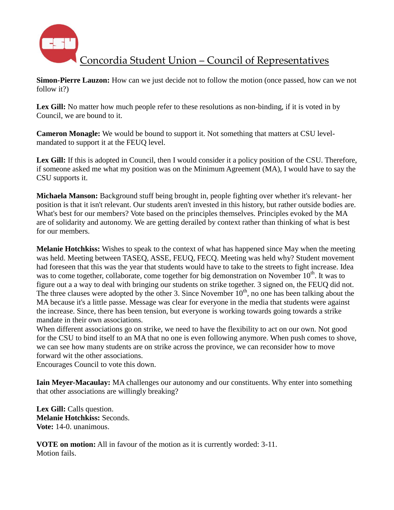

**Simon-Pierre Lauzon:** How can we just decide not to follow the motion (once passed, how can we not follow it?)

Lex Gill: No matter how much people refer to these resolutions as non-binding, if it is voted in by Council, we are bound to it.

**Cameron Monagle:** We would be bound to support it. Not something that matters at CSU levelmandated to support it at the FEUQ level.

Lex Gill: If this is adopted in Council, then I would consider it a policy position of the CSU. Therefore, if someone asked me what my position was on the Minimum Agreement (MA), I would have to say the CSU supports it.

**Michaela Manson:** Background stuff being brought in, people fighting over whether it's relevant- her position is that it isn't relevant. Our students aren't invested in this history, but rather outside bodies are. What's best for our members? Vote based on the principles themselves. Principles evoked by the MA are of solidarity and autonomy. We are getting derailed by context rather than thinking of what is best for our members.

**Melanie Hotchkiss:** Wishes to speak to the context of what has happened since May when the meeting was held. Meeting between TASEQ, ASSE, FEUQ, FECQ. Meeting was held why? Student movement had foreseen that this was the year that students would have to take to the streets to fight increase. Idea was to come together, collaborate, come together for big demonstration on November 10<sup>th</sup>. It was to figure out a a way to deal with bringing our students on strike together. 3 signed on, the FEUQ did not. The three clauses were adopted by the other 3. Since November  $10<sup>th</sup>$ , no one has been talking about the MA because it's a little passe. Message was clear for everyone in the media that students were against the increase. Since, there has been tension, but everyone is working towards going towards a strike mandate in their own associations.

When different associations go on strike, we need to have the flexibility to act on our own. Not good for the CSU to bind itself to an MA that no one is even following anymore. When push comes to shove, we can see how many students are on strike across the province, we can reconsider how to move forward wit the other associations.

Encourages Council to vote this down.

**Iain Meyer-Macaulay:** MA challenges our autonomy and our constituents. Why enter into something that other associations are willingly breaking?

**Lex Gill:** Calls question. **Melanie Hotchkiss:** Seconds. **Vote:** 14-0. unanimous.

**VOTE on motion:** All in favour of the motion as it is currently worded: 3-11. Motion fails.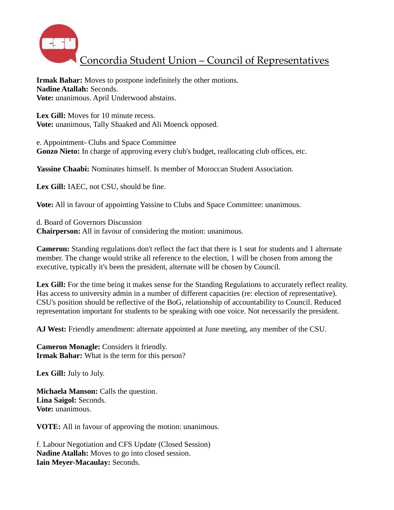

**Irmak Bahar:** Moves to postpone indefinitely the other motions. **Nadine Atallah:** Seconds. **Vote:** unanimous. April Underwood abstains.

Lex Gill: Moves for 10 minute recess. **Vote:** unanimous, Tally Shaaked and Ali Moenck opposed.

e. Appointment- Clubs and Space Committee **Gonzo Nieto:** In charge of approving every club's budget, reallocating club offices, etc.

**Yassine Chaabi:** Nominates himself. Is member of Moroccan Student Association.

**Lex Gill:** IAEC, not CSU, should be fine.

**Vote:** All in favour of appointing Yassine to Clubs and Space Committee: unanimous.

d. Board of Governors Discussion **Chairperson:** All in favour of considering the motion: unanimous.

**Cameron:** Standing regulations don't reflect the fact that there is 1 seat for students and 1 alternate member. The change would strike all reference to the election, 1 will be chosen from among the executive, typically it's been the president, alternate will be chosen by Council.

Lex Gill: For the time being it makes sense for the Standing Regulations to accurately reflect reality. Has access to university admin in a number of different capacities (re: election of representative). CSU's position should be reflective of the BoG, relationship of accountability to Council. Reduced representation important for students to be speaking with one voice. Not necessarily the president.

**AJ West:** Friendly amendment: alternate appointed at June meeting, any member of the CSU.

**Cameron Monagle:** Considers it friendly. **Irmak Bahar:** What is the term for this person?

**Lex Gill:** July to July.

**Michaela Manson:** Calls the question. **Lina Saigol:** Seconds. **Vote:** unanimous.

**VOTE:** All in favour of approving the motion: unanimous.

f. Labour Negotiation and CFS Update (Closed Session) **Nadine Atallah:** Moves to go into closed session. **Iain Meyer-Macaulay:** Seconds.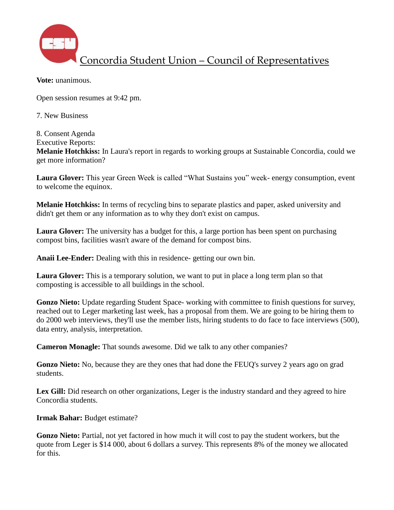

**Vote:** unanimous.

Open session resumes at 9:42 pm.

7. New Business

8. Consent Agenda

Executive Reports:

**Melanie Hotchkiss:** In Laura's report in regards to working groups at Sustainable Concordia, could we get more information?

**Laura Glover:** This year Green Week is called "What Sustains you" week- energy consumption, event to welcome the equinox.

**Melanie Hotchkiss:** In terms of recycling bins to separate plastics and paper, asked university and didn't get them or any information as to why they don't exist on campus.

**Laura Glover:** The university has a budget for this, a large portion has been spent on purchasing compost bins, facilities wasn't aware of the demand for compost bins.

**Anaii Lee-Ender:** Dealing with this in residence- getting our own bin.

**Laura Glover:** This is a temporary solution, we want to put in place a long term plan so that composting is accessible to all buildings in the school.

**Gonzo Nieto:** Update regarding Student Space- working with committee to finish questions for survey, reached out to Leger marketing last week, has a proposal from them. We are going to be hiring them to do 2000 web interviews, they'll use the member lists, hiring students to do face to face interviews (500), data entry, analysis, interpretation.

**Cameron Monagle:** That sounds awesome. Did we talk to any other companies?

**Gonzo Nieto:** No, because they are they ones that had done the FEUQ's survey 2 years ago on grad students.

Lex Gill: Did research on other organizations, Leger is the industry standard and they agreed to hire Concordia students.

**Irmak Bahar:** Budget estimate?

**Gonzo Nieto:** Partial, not yet factored in how much it will cost to pay the student workers, but the quote from Leger is \$14 000, about 6 dollars a survey. This represents 8% of the money we allocated for this.